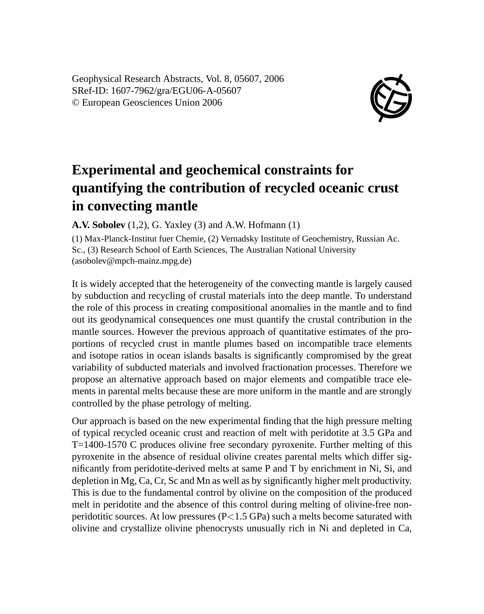Geophysical Research Abstracts, Vol. 8, 05607, 2006 SRef-ID: 1607-7962/gra/EGU06-A-05607 © European Geosciences Union 2006



## **Experimental and geochemical constraints for quantifying the contribution of recycled oceanic crust in convecting mantle**

**A.V. Sobolev** (1,2), G. Yaxley (3) and A.W. Hofmann (1)

(1) Max-Planck-Institut fuer Chemie, (2) Vernadsky Institute of Geochemistry, Russian Ac. Sc., (3) Research School of Earth Sciences, The Australian National University (asobolev@mpch-mainz.mpg.de)

It is widely accepted that the heterogeneity of the convecting mantle is largely caused by subduction and recycling of crustal materials into the deep mantle. To understand the role of this process in creating compositional anomalies in the mantle and to find out its geodynamical consequences one must quantify the crustal contribution in the mantle sources. However the previous approach of quantitative estimates of the proportions of recycled crust in mantle plumes based on incompatible trace elements and isotope ratios in ocean islands basalts is significantly compromised by the great variability of subducted materials and involved fractionation processes. Therefore we propose an alternative approach based on major elements and compatible trace elements in parental melts because these are more uniform in the mantle and are strongly controlled by the phase petrology of melting.

Our approach is based on the new experimental finding that the high pressure melting of typical recycled oceanic crust and reaction of melt with peridotite at 3.5 GPa and T=1400-1570 C produces olivine free secondary pyroxenite. Further melting of this pyroxenite in the absence of residual olivine creates parental melts which differ significantly from peridotite-derived melts at same P and T by enrichment in Ni, Si, and depletion in Mg, Ca, Cr, Sc and Mn as well as by significantly higher melt productivity. This is due to the fundamental control by olivine on the composition of the produced melt in peridotite and the absence of this control during melting of olivine-free nonperidotitic sources. At low pressures  $(P<1.5$  GPa) such a melts become saturated with olivine and crystallize olivine phenocrysts unusually rich in Ni and depleted in Ca,